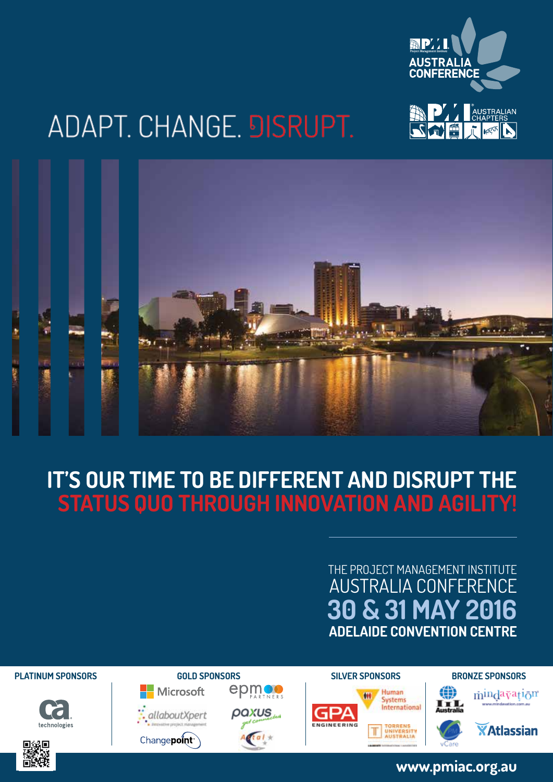

# ADAPT. CHANGE. DISRUPT.



## **IT'S OUR TIME TO BE DIFFERENT AND DISRUPT THE STATUS QUO THROUGH INNOVATION AND AGILITY!**

### **30 & 31 MAY 2016 ADELAIDE CONVENTION CENTRE** THE PROJECT MANAGEMENT INSTITUTE AUSTRALIA CONFERENCE















**www.pmiac.org.au**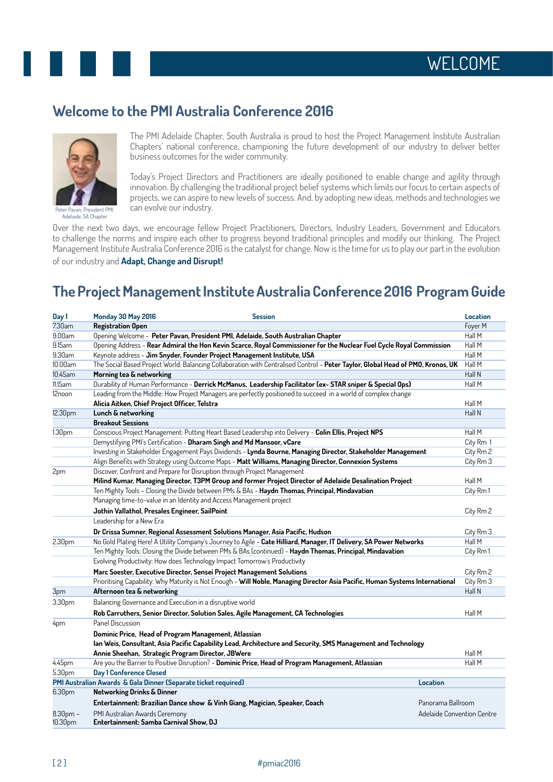

### **Welcome to the PMI Australia Conference 2016**



Peter Pavan, President PMI Adelaide, SA Chapter

The PMI Adelaide Chapter, South Australia is proud to host the Project Management Institute Australian Chapters' national conference, championing the future development of our industry to deliver better business outcomes for the wider community.

Today's Project Directors and Practitioners are ideally positioned to enable change and agility through innovation. By challenging the traditional project belief systems which limits our focus to certain aspects of projects, we can aspire to new levels of success. And, by adopting new ideas, methods and technologies we can evolve our industry.

Over the next two days, we encourage fellow Project Practitioners, Directors, Industry Leaders, Government and Educators to challenge the norms and inspire each other to progress beyond traditional principles and modify our thinking. The Project Management Institute Australia Conference 2016 is the catalyst for change. Now is the time for us to play our part in the evolution of our industry and **Adapt, Change and Disrupt!**

### **The Project Management Institute Australia Conference 2016 Program Guide**

| Day 1      | Monday 30 May 2016                                                                                                              | <b>Session</b>                                                                                                      | <b>Location</b>            |  |
|------------|---------------------------------------------------------------------------------------------------------------------------------|---------------------------------------------------------------------------------------------------------------------|----------------------------|--|
| 7.30am     | <b>Registration Open</b>                                                                                                        |                                                                                                                     | Foyer M                    |  |
| 9.00am     | Opening Welcome - Peter Pavan, President PMI, Adelaide, South Australian Chapter                                                |                                                                                                                     | Hall M                     |  |
| 9.15am     | Hall M<br>Opening Address - Rear Admiral the Hon Kevin Scarce, Royal Commissioner for the Nuclear Fuel Cycle Royal Commission   |                                                                                                                     |                            |  |
| 9.30am     |                                                                                                                                 | Keynote address - Jim Snyder, Founder Project Management Institute, USA                                             | Hall M                     |  |
| 10.00am    | The Social Based Project World: Balancing Collaboration with Centralised Control - Peter Taylor, Global Head of PMO, Kronos, UK |                                                                                                                     | Hall M                     |  |
| 10.45am    | Morning tea & networking                                                                                                        |                                                                                                                     | Hall N                     |  |
| 11.15am    |                                                                                                                                 | Durability of Human Performance - Derrick McManus, Leadership Facilitator (ex- STAR sniper & Special Ops)           | Hall M                     |  |
| 12noon     |                                                                                                                                 | Leading from the Middle: How Project Managers are perfectly positioned to succeed in a world of complex change      | Hall M                     |  |
|            | Alicia Aitken, Chief Project Officer, Telstra                                                                                   |                                                                                                                     |                            |  |
| 12.30pm    | Lunch & networking                                                                                                              |                                                                                                                     | Hall N                     |  |
|            | <b>Breakout Sessions</b>                                                                                                        |                                                                                                                     |                            |  |
| 1.30pm     |                                                                                                                                 | Conscious Project Management: Putting Heart Based Leadership into Delivery - Colin Ellis, Project NPS               | Hall M                     |  |
|            | Demystifying PMI's Certification - Dharam Singh and Md Mansoor, vCare                                                           |                                                                                                                     |                            |  |
|            | Investing in Stakeholder Engagement Pays Dividends - Lynda Bourne, Managing Director, Stakeholder Management                    |                                                                                                                     | City Rm 2                  |  |
|            |                                                                                                                                 | Align Benefits with Strategy using Outcome Maps - Matt Williams, Managing Director, Connexion Systems               | City Rm 3                  |  |
| 2pm        | Discover, Confront and Prepare for Disruption through Project Management                                                        |                                                                                                                     |                            |  |
|            | Milind Kumar, Managing Director, T3PM Group and former Project Director of Adelaide Desalination Project                        |                                                                                                                     | Hall M                     |  |
|            | Ten Mighty Tools - Closing the Divide between PMs & BAs - Haydn Thomas, Principal, Mindavation                                  |                                                                                                                     | City Rm1                   |  |
|            | Managing time-to-value in an Identity and Access Management project                                                             |                                                                                                                     |                            |  |
|            | Jothin Vallathol, Presales Engineer, SailPoint                                                                                  |                                                                                                                     | City Rm 2                  |  |
|            | Leadership for a New Era                                                                                                        |                                                                                                                     |                            |  |
|            | Dr Crissa Sumner, Regional Assessment Solutions Manager, Asia Pacific, Hudson                                                   |                                                                                                                     |                            |  |
| 2.30pm     |                                                                                                                                 | No Gold Plating Here! A Utility Company's Journey to Agile - Cate Hilliard, Manager, IT Delivery, SA Power Networks | Hall M                     |  |
|            | Ten Mighty Tools: Closing the Divide between PMs & BAs (continued) - Haydn Thomas, Principal, Mindavation                       |                                                                                                                     | City Rm 1                  |  |
|            | Evolving Productivity: How does Technology Impact Tomorrow's Productivity                                                       |                                                                                                                     |                            |  |
|            | Marc Soester, Executive Director, Sensei Project Management Solutions                                                           |                                                                                                                     | City Rm 2                  |  |
|            | Prioritising Capability: Why Maturity is Not Enough - Will Noble, Managing Director Asia Pacific, Human Systems International   |                                                                                                                     | City Rm 3                  |  |
| 3pm        | Afternoon tea & networking                                                                                                      |                                                                                                                     | Hall N                     |  |
| 3.30pm     | Balancing Governance and Execution in a disruptive world                                                                        |                                                                                                                     |                            |  |
|            |                                                                                                                                 | Rob Carruthers, Senior Director, Solution Sales, Agile Management, CA Technologies                                  | Hall M                     |  |
| 4pm        | Panel Discussion                                                                                                                |                                                                                                                     |                            |  |
|            | Dominic Price, Head of Program Management, Atlassian                                                                            |                                                                                                                     |                            |  |
|            | lan Weis, Consultant, Asia Pacific Capability Lead, Architecture and Security, SMS Management and Technology                    |                                                                                                                     |                            |  |
|            | Annie Sheehan, Strategic Program Director, JBWere                                                                               |                                                                                                                     |                            |  |
| 4.45pm     |                                                                                                                                 | Are you the Barrier to Positive Disruption? - Dominic Price, Head of Program Management, Atlassian                  | Hall M<br>Hall M           |  |
| 5.30pm     | <b>Day 1 Conference Closed</b>                                                                                                  |                                                                                                                     |                            |  |
|            | PMI Australian Awards & Gala Dinner (Separate ticket required)                                                                  | Location                                                                                                            |                            |  |
| 6.30pm     | <b>Networking Drinks &amp; Dinner</b>                                                                                           |                                                                                                                     |                            |  |
|            | Entertainment: Brazilian Dance show & Vinh Giang, Magician, Speaker, Coach<br>Panorama Ballroom                                 |                                                                                                                     |                            |  |
| $8.30pm$ – | PMI Australian Awards Ceremony                                                                                                  |                                                                                                                     | Adelaide Convention Centre |  |
| 10.30pm    | Entertainment: Samba Carnival Show, DJ                                                                                          |                                                                                                                     |                            |  |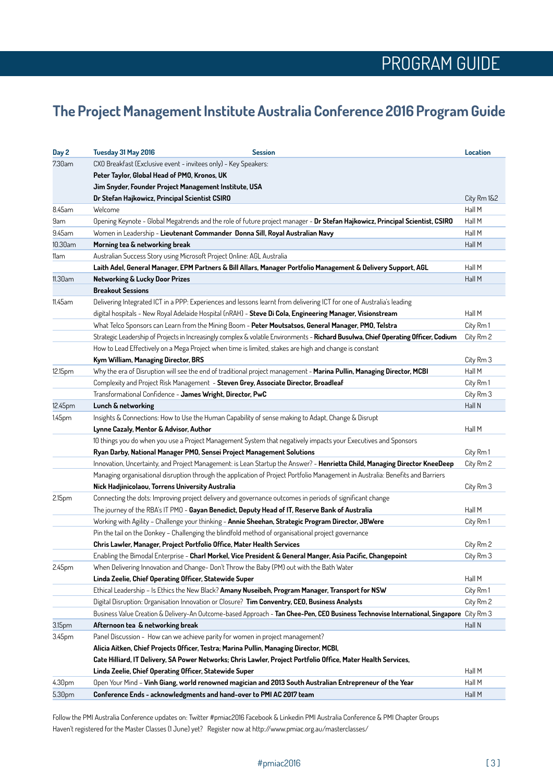### **The Project Management Institute Australia Conference 2016 Program Guide**

| Day 2   | Tuesday 31 May 2016                                                                                                        | <b>Session</b>                                                                                                                          | <b>Location</b> |  |
|---------|----------------------------------------------------------------------------------------------------------------------------|-----------------------------------------------------------------------------------------------------------------------------------------|-----------------|--|
| 7.30am  | CXO Breakfast (Exclusive event - invitees only) - Key Speakers:                                                            |                                                                                                                                         |                 |  |
|         | Peter Taylor, Global Head of PMO, Kronos, UK                                                                               |                                                                                                                                         |                 |  |
|         | Jim Snyder, Founder Project Management Institute, USA                                                                      |                                                                                                                                         |                 |  |
|         | Dr Stefan Hajkowicz, Principal Scientist CSIRO                                                                             |                                                                                                                                         | City Rm 1&2     |  |
| 8.45am  | Welcome                                                                                                                    |                                                                                                                                         | Hall M          |  |
| 9am     |                                                                                                                            | Opening Keynote - Global Megatrends and the role of future project manager - Dr Stefan Hajkowicz, Principal Scientist, CSIRO            | Hall M          |  |
| 9.45am  | Women in Leadership - Lieutenant Commander Donna Sill, Royal Australian Navy                                               |                                                                                                                                         | Hall M          |  |
| 10.30am | Morning tea & networking break                                                                                             |                                                                                                                                         | Hall M          |  |
| 11am    | Australian Success Story using Microsoft Project Online: AGL Australia                                                     |                                                                                                                                         |                 |  |
|         | Laith Adel, General Manager, EPM Partners & Bill Allars, Manager Portfolio Management & Delivery Support, AGL              |                                                                                                                                         |                 |  |
| 11.30am | <b>Networking &amp; Lucky Door Prizes</b>                                                                                  |                                                                                                                                         | Hall M          |  |
|         | <b>Breakout Sessions</b>                                                                                                   |                                                                                                                                         |                 |  |
| 11.45am |                                                                                                                            | Delivering Integrated ICT in a PPP: Experiences and lessons learnt from delivering ICT for one of Australia's leading                   |                 |  |
|         |                                                                                                                            | digital hospitals - New Royal Adelaide Hospital (nRAH) - Steve Di Cola, Engineering Manager, Visionstream                               | Hall M          |  |
|         |                                                                                                                            | What Telco Sponsors can Learn from the Mining Boom - Peter Moutsatsos, General Manager, PMO, Telstra                                    | City Rm 1       |  |
|         |                                                                                                                            | Strategic Leadership of Projects in Increasingly complex & volatile Environments - Richard Busulwa, Chief Operating Officer, Codium     | City Rm 2       |  |
|         |                                                                                                                            | How to Lead Effectively on a Mega Project when time is limited, stakes are high and change is constant                                  |                 |  |
|         | Kym William, Managing Director, BRS                                                                                        |                                                                                                                                         | City Rm 3       |  |
| 12.15pm |                                                                                                                            | Why the era of Disruption will see the end of traditional project management - Marina Pullin, Managing Director, MCBI                   | Hall M          |  |
|         |                                                                                                                            | Complexity and Project Risk Management - Steven Grey, Associate Director, Broadleaf                                                     | City Rm 1       |  |
|         | Transformational Confidence - James Wright, Director, PwC                                                                  |                                                                                                                                         | City Rm 3       |  |
| 12.45pm | Lunch & networking                                                                                                         |                                                                                                                                         | Hall N          |  |
| 1.45pm  |                                                                                                                            | Insights & Connections: How to Use the Human Capability of sense making to Adapt, Change & Disrupt                                      |                 |  |
|         | Lynne Cazaly, Mentor & Advisor, Author                                                                                     |                                                                                                                                         | Hall M          |  |
|         |                                                                                                                            | 10 things you do when you use a Project Management System that negatively impacts your Executives and Sponsors                          |                 |  |
|         | Ryan Darby, National Manager PMO, Sensei Project Management Solutions                                                      |                                                                                                                                         | City Rm 1       |  |
|         | Innovation, Uncertainty, and Project Management: is Lean Startup the Answer? - Henrietta Child, Managing Director KneeDeep |                                                                                                                                         | City Rm 2       |  |
|         |                                                                                                                            | Managing organisational disruption through the application of Project Portfolio Management in Australia: Benefits and Barriers          |                 |  |
|         | Nick Hadjinicolaou, Torrens University Australia                                                                           |                                                                                                                                         | City Rm 3       |  |
| 2.15pm  |                                                                                                                            | Connecting the dots: Improving project delivery and governance outcomes in periods of significant change                                |                 |  |
|         |                                                                                                                            | The journey of the RBA's IT PMO - Gayan Benedict, Deputy Head of IT, Reserve Bank of Australia                                          | Hall M          |  |
|         |                                                                                                                            | Working with Agility - Challenge your thinking - Annie Sheehan, Strategic Program Director, JBWere                                      | City Rm 1       |  |
|         |                                                                                                                            | Pin the tail on the Donkey - Challenging the blindfold method of organisational project governance                                      |                 |  |
|         | Chris Lawler, Manager, Project Portfolio Office, Mater Health Services                                                     |                                                                                                                                         |                 |  |
|         |                                                                                                                            | Enabling the Bimodal Enterprise - Charl Morkel, Vice President & General Manger, Asia Pacific, Changepoint                              | City Rm 3       |  |
| 2.45pm  |                                                                                                                            | When Delivering Innovation and Change- Don't Throw the Baby (PM) out with the Bath Water                                                |                 |  |
|         | Linda Zeelie, Chief Operating Officer, Statewide Super                                                                     |                                                                                                                                         | Hall M          |  |
|         |                                                                                                                            | Ethical Leadership - Is Ethics the New Black? Amany Nuseibeh, Program Manager, Transport for NSW                                        | City Rm 1       |  |
|         |                                                                                                                            | Digital Disruption: Organisation Innovation or Closure? Tim Conventry, CEO, Business Analysts                                           | City Rm 2       |  |
|         |                                                                                                                            | Business Value Creation & Delivery-An Outcome-based Approach - Tan Chee-Pen, CEO Business Technovise International, Singapore City Rm 3 |                 |  |
| 3.15pm  | Afternoon tea & networking break                                                                                           |                                                                                                                                         | Hall N          |  |
| 3.45pm  | Panel Discussion - How can we achieve parity for women in project management?                                              |                                                                                                                                         |                 |  |
|         | Alicia Aitken, Chief Projects Officer, Testra; Marina Pullin, Managing Director, MCBI,                                     |                                                                                                                                         |                 |  |
|         | Cate Hilliard, IT Delivery, SA Power Networks; Chris Lawler, Project Portfolio Office, Mater Health Services,              |                                                                                                                                         |                 |  |
|         | Linda Zeelie, Chief Operating Officer, Statewide Super                                                                     |                                                                                                                                         | Hall M          |  |
| 4.30pm  |                                                                                                                            | Open Your Mind - Vinh Giang, world renowned magician and 2013 South Australian Entrepreneur of the Year                                 | Hall M          |  |
| 5.30pm  | Conference Ends - acknowledgments and hand-over to PMI AC 2017 team                                                        |                                                                                                                                         | Hall M          |  |

Follow the PMI Australia Conference updates on: Twitter #pmiac2016 Facebook & Linkedin PMI Australia Conference & PMI Chapter Groups Haven't registered for the Master Classes (1 June) yet? Register now at http://www.pmiac.org.au/masterclasses/